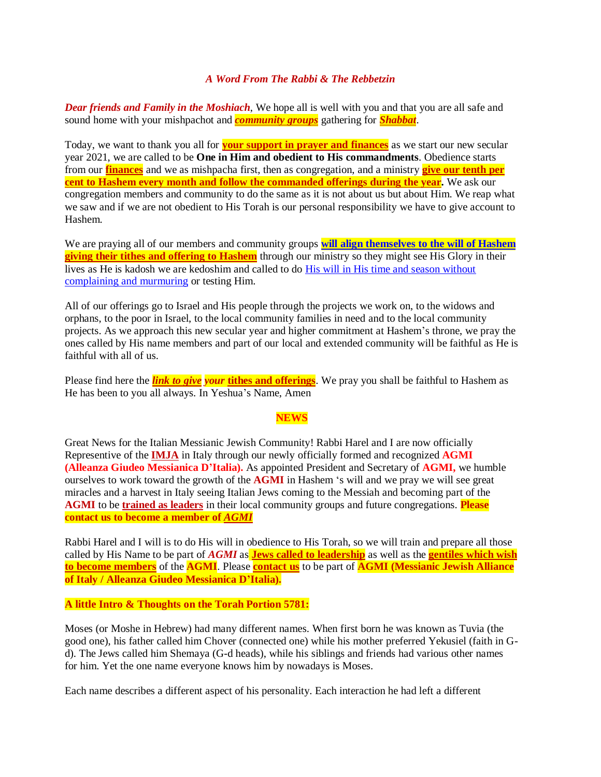## *A Word From The Rabbi & The Rebbetzin*

*Dear friends and Family in the Moshiach*, We hope all is well with you and that you are all safe and sound home with your mishpachot and *[community groups](https://villageofhopejusticeministry.org/beit-shalom-messianic-congregation-beit-shalom-congregazione-messianica/)* gathering for *[Shabbat](https://villageofhopejusticeministry.org/shabbat-torah-blessings-benedizioni-della-torah-di-shabbat/)*.

Today, we want to thank you all for **[your support in prayer](https://villageofhopejusticeministry.org/donation-donazione/) and finances** as we start our new secular year 2021, we are called to be **One in Him and obedient to His commandments**. Obedience starts from our **[finances](https://villageofhopejusticeministry.org/donation-donazione/)** and we as mishpacha first, then as congregation, and a ministry **[give our tenth per](https://villageofhopejusticeministry.org/donation-donazione/)  cent to Hashem [every month and follow the commanded offerings during](https://villageofhopejusticeministry.org/donation-donazione/) the year.** We ask our congregation members and community to do the same as it is not about us but about Him. We reap what we saw and if we are not obedient to His Torah is our personal responsibility we have to give account to Hashem.

We are praying all of our members and community groups **will align [themselves to the will of Hashem](https://www.biblegateway.com/passage/?search=Leviticus+27%3A30&version=TLV) [giving their tithes and offering to Hashem](https://villageofhopejusticeministry.org/donation-donazione/)** through our ministry so they might see His Glory in their lives as He is kadosh we are kedoshim and called to do [His will in His time and season without](http://web.mit.edu/jywang/www/cef/Bible/NIV/NIV_Bible/MAL+3.html)  [complaining and murmuring](http://web.mit.edu/jywang/www/cef/Bible/NIV/NIV_Bible/MAL+3.html) or testing Him.

All of our offerings go to Israel and His people through the projects we work on, to the widows and orphans, to the poor in Israel, to the local community families in need and to the local community projects. As we approach this new secular year and higher commitment at Hashem's throne, we pray the ones called by His name members and part of our local and extended community will be faithful as He is faithful with all of us.

Please find here the *[link to give](https://villageofhopejusticeministry.org/donation-donazione/) your* **[tithes and offerings](https://en.wikipedia.org/wiki/Tithes_in_Judaism)**. We pray you shall be faithful to Hashem as He has been to you all always. In Yeshua's Name, Amen

## **NEWS**

Great News for the Italian Messianic Jewish Community! Rabbi Harel and I are now officially Representive of the **[IMJA](https://theimja.org/)** in Italy through our newly officially formed and recognized **AGMI (Alleanza Giudeo Messianica D'Italia).** As appointed President and Secretary of **AGMI,** we humble ourselves to work toward the growth of the **AGMI** in Hashem 's will and we pray we will see great miracles and a harvest in Italy seeing Italian Jews coming to the Messiah and becoming part of the **AGMI** to be **[trained as leaders](https://villageofhopejusticeministry.org/italian-messianic-bible-institute-istituto-messianico-biblico-italiano/)** in their local community groups and future congregations. **Please contact us to become a member of** *[AGMI](mailto:vohjm2013@gmail.com)*

Rabbi Harel and I will is to do His will in obedience to His Torah, so we will train and prepare all those called by His Name to be part of *AGMI* as **[Jews called to](https://villageofhopejusticeministry.org/italian-messianic-bible-institute-istituto-messianico-biblico-italiano/) leadership** as well as the **[gentiles which wish](mailto:vohjm2013@gmail.com)  [to become members](mailto:vohjm2013@gmail.com)** of the **AGMI**. Please **[contact us](mailto:vohjm2013@gmail.com)** to be part of **AGMI (Messianic Jewish Alliance of Italy / Alleanza Giudeo Messianica D'Italia).**

**A little Intro & Thoughts on the Torah Portion 5781:**

Moses (or Moshe in Hebrew) had many different names. When first born he was known as Tuvia (the good one), his father called him Chover (connected one) while his mother preferred Yekusiel (faith in Gd). The Jews called him Shemaya (G-d heads), while his siblings and friends had various other names for him. Yet the one name everyone knows him by nowadays is Moses.

Each name describes a different aspect of his personality. Each interaction he had left a different